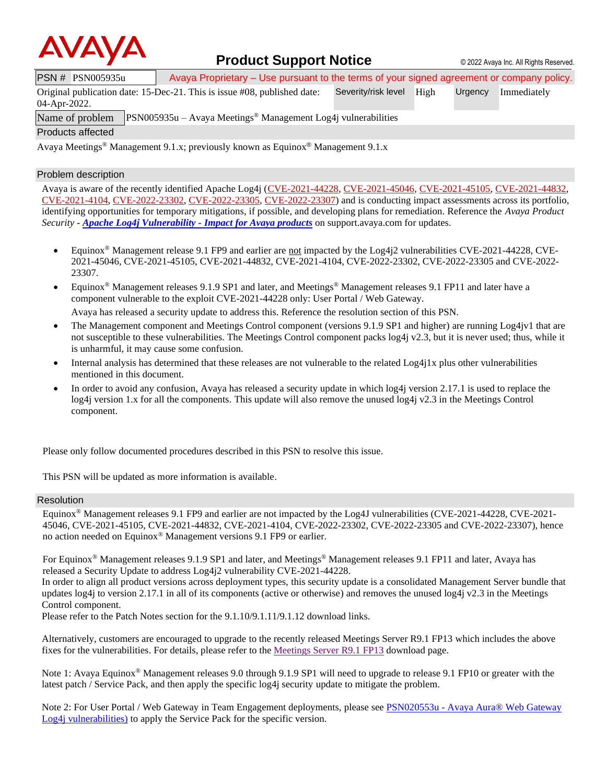

### **Product Support Notice**  $\circ$  2022 Avaya Inc. All Rights Reserved.

PSN # PSN005935u Avaya Proprietary – Use pursuant to the terms of your signed agreement or company policy.

Original publication date: 15-Dec-21. This is issue #08, published date: Severity/risk level High Urgency Immediately

04-Apr-2022.

Name of problem PSN005935u – Avaya Meetings<sup>®</sup> Management Log4j vulnerabilities

Products affected

Avaya Meetings® Management 9.1.x; previously known as Equinox® Management 9.1.x

#### Problem description

Avaya is aware of the recently identified Apache Log4j [\(CVE-2021-44228,](https://cve.mitre.org/cgi-bin/cvename.cgi?name=CVE-2021-44228) [CVE-2021-45046,](https://cve.mitre.org/cgi-bin/cvename.cgi?name=CVE-2021-45046) [CVE-2021-45105,](https://cve.mitre.org/cgi-bin/cvename.cgi?name=CVE-2021-45105) [CVE-2021-44832,](https://cve.mitre.org/cgi-bin/cvename.cgi?name=CVE-2021-44832) [CVE-2021-4104,](https://cve.mitre.org/cgi-bin/cvename.cgi?name=CVE-2021-4104) [CVE-2022-23302,](https://www.cvedetails.com/cve/CVE-2022-23302/) [CVE-2022-23305,](https://www.cvedetails.com/cve/CVE-2022-23305/) [CVE-2022-23307\)](https://www.cvedetails.com/cve/CVE-2022-23307/) and is conducting impact assessments across its portfolio, identifying opportunities for temporary mitigations, if possible, and developing plans for remediation. Reference the *Avaya Product Security - [Apache Log4j Vulnerability -](http://www.avaya.com/emergencyupdate) Impact for Avaya products* on support.avaya.com for updates.

- Equinox® Management release 9.1 FP9 and earlier are not impacted by the Log4j2 vulnerabilities CVE-2021-44228, CVE-2021-45046, CVE-2021-45105, CVE-2021-44832, CVE-2021-4104, CVE-2022-23302, CVE-2022-23305 and CVE-2022- 23307.
- Equinox® Management releases 9.1.9 SP1 and later, and Meetings® Management releases 9.1 FP11 and later have a component vulnerable to the exploit CVE-2021-44228 only: User Portal / Web Gateway.

Avaya has released a security update to address this. Reference the resolution section of this PSN.

- The Management component and Meetings Control component (versions 9.1.9 SP1 and higher) are running Log4jv1 that are not susceptible to these vulnerabilities. The Meetings Control component packs log4j v2.3, but it is never used; thus, while it is unharmful, it may cause some confusion.
- Internal analysis has determined that these releases are not vulnerable to the related Log4j1x plus other vulnerabilities mentioned in this document.
- In order to avoid any confusion, Avaya has released a security update in which  $log4$  version 2.17.1 is used to replace the log4j version 1.x for all the components. This update will also remove the unused log4j v2.3 in the Meetings Control component.

Please only follow documented procedures described in this PSN to resolve this issue.

This PSN will be updated as more information is available.

#### Resolution

Equinox® Management releases 9.1 FP9 and earlier are not impacted by the Log4J vulnerabilities (CVE-2021-44228, CVE-2021- 45046, CVE-2021-45105, CVE-2021-44832, CVE-2021-4104, CVE-2022-23302, CVE-2022-23305 and CVE-2022-23307), hence no action needed on Equinox® Management versions 9.1 FP9 or earlier.

For Equinox<sup>®</sup> Management releases 9.1.9 SP1 and later, and Meetings<sup>®</sup> Management releases 9.1 FP11 and later, Avaya has released a Security Update to address Log4j2 vulnerability CVE-2021-44228.

In order to align all product versions across deployment types, this security update is a consolidated Management Server bundle that updates  $log4$  to version 2.17.1 in all of its components (active or otherwise) and removes the unused  $log4$  v2.3 in the Meetings Control component.

Please refer to the Patch Notes section for the 9.1.10/9.1.11/9.1.12 download links.

Alternatively, customers are encouraged to upgrade to the recently released Meetings Server R9.1 FP13 which includes the above fixes for the vulnerabilities. For details, please refer to th[e Meetings Server R9.1 FP13](https://support.avaya.com/downloads/download-details.action?contentId=1399845905400&productId=P1728&releaseId=9.1.x) download page.

Note 1: Avaya Equinox® Management releases 9.0 through 9.1.9 SP1 will need to upgrade to release 9.1 FP10 or greater with the latest patch / Service Pack, and then apply the specific log4j security update to mitigate the problem.

Note 2: For User Portal / Web Gateway in Team Engagement deployments, please see **PSN020553u - Avaya Aura®** Web Gateway [Log4j vulnerabilities\)](https://download.avaya.com/css/public/documents/101079466) to apply the Service Pack for the specific version.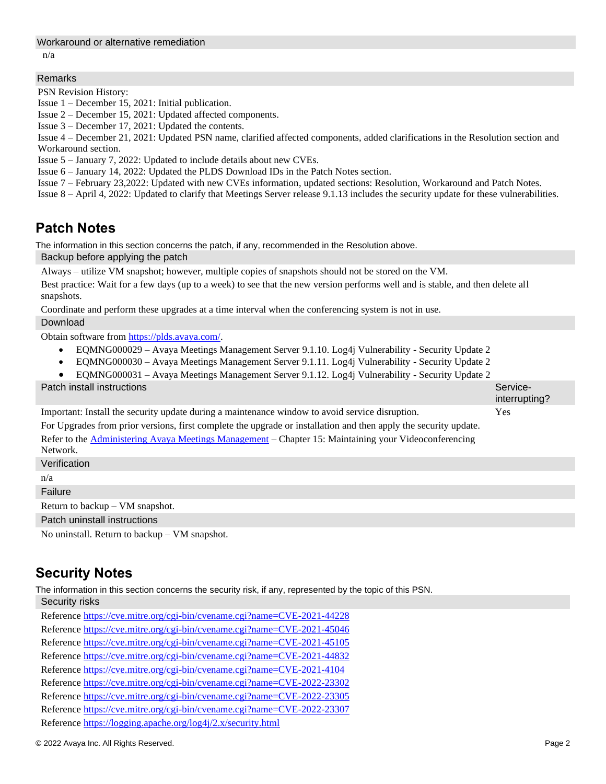#### Workaround or alternative remediation

n/a

#### Remarks

PSN Revision History:

Issue 1 – December 15, 2021: Initial publication.

Issue 2 – December 15, 2021: Updated affected components.

Issue 3 – December 17, 2021: Updated the contents.

Issue 4 – December 21, 2021: Updated PSN name, clarified affected components, added clarifications in the Resolution section and Workaround section.

Issue 5 – January 7, 2022: Updated to include details about new CVEs.

Issue 6 – January 14, 2022: Updated the PLDS Download IDs in the Patch Notes section.

Issue 7 – February 23,2022: Updated with new CVEs information, updated sections: Resolution, Workaround and Patch Notes.

Issue 8 – April 4, 2022: Updated to clarify that Meetings Server release 9.1.13 includes the security update for these vulnerabilities.

## **Patch Notes**

The information in this section concerns the patch, if any, recommended in the Resolution above.

Backup before applying the patch

Always – utilize VM snapshot; however, multiple copies of snapshots should not be stored on the VM.

Best practice: Wait for a few days (up to a week) to see that the new version performs well and is stable, and then delete all snapshots.

Coordinate and perform these upgrades at a time interval when the conferencing system is not in use.

#### Download

Obtain software from [https://plds.avaya.com/.](https://plds.avaya.com/)

- EQMNG000029 Avaya Meetings Management Server 9.1.10. Log4j Vulnerability Security Update 2
- EQMNG000030 Avaya Meetings Management Server 9.1.11. Log4j Vulnerability Security Update 2
- EQMNG000031 Avaya Meetings Management Server 9.1.12. Log4j Vulnerability Security Update 2

**Patch install instructions** Serviceinterrupting? Important: Install the security update during a maintenance window to avoid service disruption. For Upgrades from prior versions, first complete the upgrade or installation and then apply the security update. Refer to the [Administering Avaya Meetings Management](https://downloads.avaya.com/css/P8/documents/101074761) – Chapter 15: Maintaining your Videoconferencing Network. Yes Verification

n/a

Failure

Return to backup – VM snapshot.

Patch uninstall instructions

No uninstall. Return to backup – VM snapshot.

# **Security Notes**

The information in this section concerns the security risk, if any, represented by the topic of this PSN.

Security risks Reference<https://cve.mitre.org/cgi-bin/cvename.cgi?name=CVE-2021-44228> Reference<https://cve.mitre.org/cgi-bin/cvename.cgi?name=CVE-2021-45046> Reference<https://cve.mitre.org/cgi-bin/cvename.cgi?name=CVE-2021-45105> Reference<https://cve.mitre.org/cgi-bin/cvename.cgi?name=CVE-2021-44832> Reference<https://cve.mitre.org/cgi-bin/cvename.cgi?name=CVE-2021-4104> Reference<https://cve.mitre.org/cgi-bin/cvename.cgi?name=CVE-2022-23302> Reference<https://cve.mitre.org/cgi-bin/cvename.cgi?name=CVE-2022-23305> Reference<https://cve.mitre.org/cgi-bin/cvename.cgi?name=CVE-2022-23307> Reference<https://logging.apache.org/log4j/2.x/security.html>